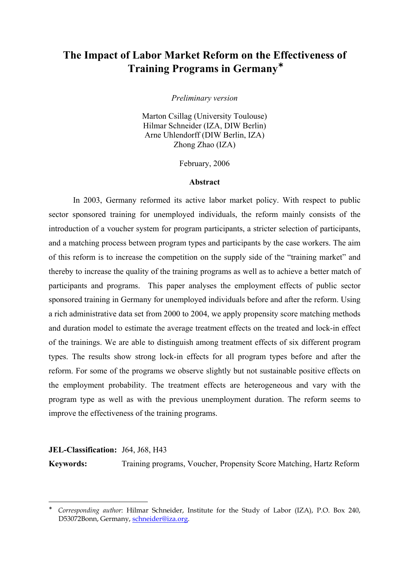# **The Impact of Labor Market Reform on the Effectiveness of Training Programs in Germany**[∗](#page-0-0)

*Preliminary version* 

Marton Csillag (University Toulouse) Hilmar Schneider (IZA, DIW Berlin) Arne Uhlendorff (DIW Berlin, IZA) Zhong Zhao (IZA)

February, 2006

#### **Abstract**

In 2003, Germany reformed its active labor market policy. With respect to public sector sponsored training for unemployed individuals, the reform mainly consists of the introduction of a voucher system for program participants, a stricter selection of participants, and a matching process between program types and participants by the case workers. The aim of this reform is to increase the competition on the supply side of the "training market" and thereby to increase the quality of the training programs as well as to achieve a better match of participants and programs. This paper analyses the employment effects of public sector sponsored training in Germany for unemployed individuals before and after the reform. Using a rich administrative data set from 2000 to 2004, we apply propensity score matching methods and duration model to estimate the average treatment effects on the treated and lock-in effect of the trainings. We are able to distinguish among treatment effects of six different program types. The results show strong lock-in effects for all program types before and after the reform. For some of the programs we observe slightly but not sustainable positive effects on the employment probability. The treatment effects are heterogeneous and vary with the program type as well as with the previous unemployment duration. The reform seems to improve the effectiveness of the training programs.

## **JEL-Classification:** J64, J68, H43 **Keywords:** Training programs, Voucher, Propensity Score Matching, Hartz Reform

1

<span id="page-0-0"></span><sup>∗</sup> *Corresponding author*: Hilmar Schneider, Institute for the Study of Labor (IZA), P.O. Box 240, D53072Bonn, Germany, [schneider@iza.org](mailto:schneider@iza.org).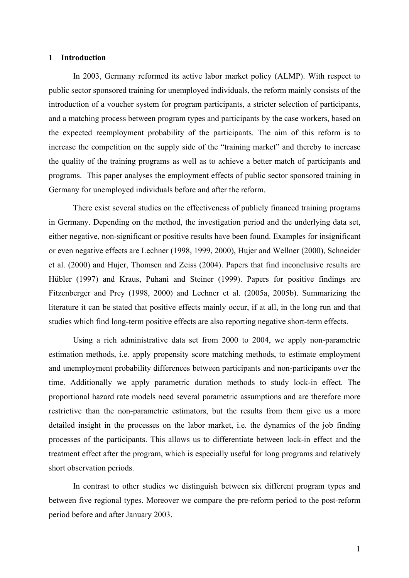#### **1 Introduction**

In 2003, Germany reformed its active labor market policy (ALMP). With respect to public sector sponsored training for unemployed individuals, the reform mainly consists of the introduction of a voucher system for program participants, a stricter selection of participants, and a matching process between program types and participants by the case workers, based on the expected reemployment probability of the participants. The aim of this reform is to increase the competition on the supply side of the "training market" and thereby to increase the quality of the training programs as well as to achieve a better match of participants and programs. This paper analyses the employment effects of public sector sponsored training in Germany for unemployed individuals before and after the reform.

There exist several studies on the effectiveness of publicly financed training programs in Germany. Depending on the method, the investigation period and the underlying data set, either negative, non-significant or positive results have been found. Examples for insignificant or even negative effects are Lechner (1998, 1999, 2000), Hujer and Wellner (2000), Schneider et al. (2000) and Hujer, Thomsen and Zeiss (2004). Papers that find inconclusive results are Hübler (1997) and Kraus, Puhani and Steiner (1999). Papers for positive findings are Fitzenberger and Prey (1998, 2000) and Lechner et al. (2005a, 2005b). Summarizing the literature it can be stated that positive effects mainly occur, if at all, in the long run and that studies which find long-term positive effects are also reporting negative short-term effects.

Using a rich administrative data set from 2000 to 2004, we apply non-parametric estimation methods, i.e. apply propensity score matching methods, to estimate employment and unemployment probability differences between participants and non-participants over the time. Additionally we apply parametric duration methods to study lock-in effect. The proportional hazard rate models need several parametric assumptions and are therefore more restrictive than the non-parametric estimators, but the results from them give us a more detailed insight in the processes on the labor market, i.e. the dynamics of the job finding processes of the participants. This allows us to differentiate between lock-in effect and the treatment effect after the program, which is especially useful for long programs and relatively short observation periods.

In contrast to other studies we distinguish between six different program types and between five regional types. Moreover we compare the pre-reform period to the post-reform period before and after January 2003.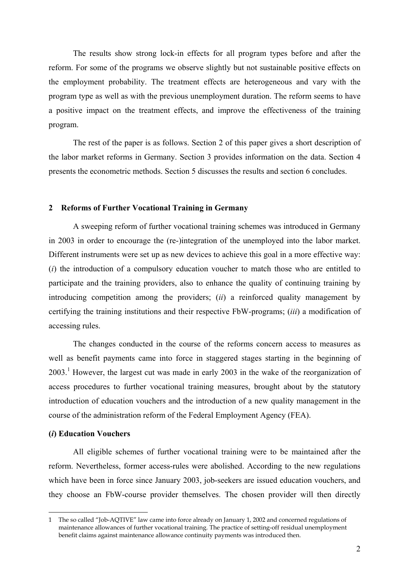The results show strong lock-in effects for all program types before and after the reform. For some of the programs we observe slightly but not sustainable positive effects on the employment probability. The treatment effects are heterogeneous and vary with the program type as well as with the previous unemployment duration. The reform seems to have a positive impact on the treatment effects, and improve the effectiveness of the training program.

The rest of the paper is as follows. Section 2 of this paper gives a short description of the labor market reforms in Germany. Section 3 provides information on the data. Section 4 presents the econometric methods. Section 5 discusses the results and section 6 concludes.

## **2 Reforms of Further Vocational Training in Germany**

A sweeping reform of further vocational training schemes was introduced in Germany in 2003 in order to encourage the (re-)integration of the unemployed into the labor market. Different instruments were set up as new devices to achieve this goal in a more effective way: (*i*) the introduction of a compulsory education voucher to match those who are entitled to participate and the training providers, also to enhance the quality of continuing training by introducing competition among the providers; (*ii*) a reinforced quality management by certifying the training institutions and their respective FbW-programs; (*iii*) a modification of accessing rules.

The changes conducted in the course of the reforms concern access to measures as well as benefit payments came into force in staggered stages starting in the beginning of 2003.<sup>[1](#page-2-0)</sup> However, the largest cut was made in early 2003 in the wake of the reorganization of access procedures to further vocational training measures, brought about by the statutory introduction of education vouchers and the introduction of a new quality management in the course of the administration reform of the Federal Employment Agency (FEA).

## **(***i***) Education Vouchers**

1

All eligible schemes of further vocational training were to be maintained after the reform. Nevertheless, former access-rules were abolished. According to the new regulations which have been in force since January 2003, job-seekers are issued education vouchers, and they choose an FbW-course provider themselves. The chosen provider will then directly

<span id="page-2-0"></span><sup>1</sup> The so called "Job-AQTIVE" law came into force already on January 1, 2002 and concerned regulations of maintenance allowances of further vocational training. The practice of setting-off residual unemployment benefit claims against maintenance allowance continuity payments was introduced then.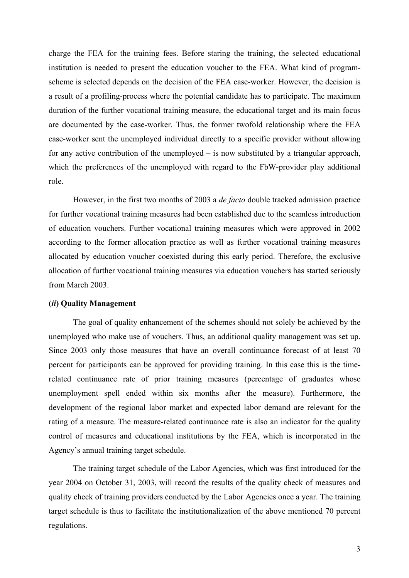charge the FEA for the training fees. Before staring the training, the selected educational institution is needed to present the education voucher to the FEA. What kind of programscheme is selected depends on the decision of the FEA case-worker. However, the decision is a result of a profiling-process where the potential candidate has to participate. The maximum duration of the further vocational training measure, the educational target and its main focus are documented by the case-worker. Thus, the former twofold relationship where the FEA case-worker sent the unemployed individual directly to a specific provider without allowing for any active contribution of the unemployed – is now substituted by a triangular approach, which the preferences of the unemployed with regard to the FbW-provider play additional role.

However, in the first two months of 2003 a *de facto* double tracked admission practice for further vocational training measures had been established due to the seamless introduction of education vouchers. Further vocational training measures which were approved in 2002 according to the former allocation practice as well as further vocational training measures allocated by education voucher coexisted during this early period. Therefore, the exclusive allocation of further vocational training measures via education vouchers has started seriously from March 2003.

## **(***ii***) Quality Management**

The goal of quality enhancement of the schemes should not solely be achieved by the unemployed who make use of vouchers. Thus, an additional quality management was set up. Since 2003 only those measures that have an overall continuance forecast of at least 70 percent for participants can be approved for providing training. In this case this is the timerelated continuance rate of prior training measures (percentage of graduates whose unemployment spell ended within six months after the measure). Furthermore, the development of the regional labor market and expected labor demand are relevant for the rating of a measure. The measure-related continuance rate is also an indicator for the quality control of measures and educational institutions by the FEA, which is incorporated in the Agency's annual training target schedule.

The training target schedule of the Labor Agencies, which was first introduced for the year 2004 on October 31, 2003, will record the results of the quality check of measures and quality check of training providers conducted by the Labor Agencies once a year. The training target schedule is thus to facilitate the institutionalization of the above mentioned 70 percent regulations.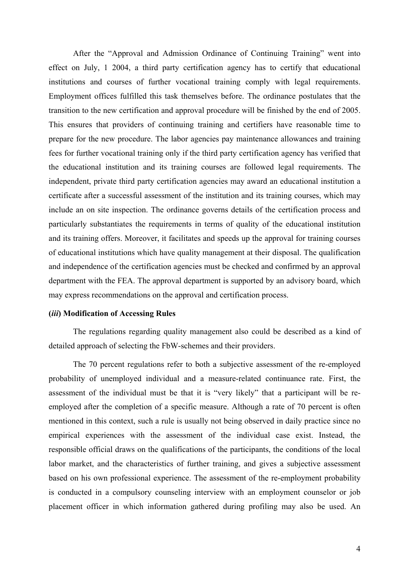After the "Approval and Admission Ordinance of Continuing Training" went into effect on July, 1 2004, a third party certification agency has to certify that educational institutions and courses of further vocational training comply with legal requirements. Employment offices fulfilled this task themselves before. The ordinance postulates that the transition to the new certification and approval procedure will be finished by the end of 2005. This ensures that providers of continuing training and certifiers have reasonable time to prepare for the new procedure. The labor agencies pay maintenance allowances and training fees for further vocational training only if the third party certification agency has verified that the educational institution and its training courses are followed legal requirements. The independent, private third party certification agencies may award an educational institution a certificate after a successful assessment of the institution and its training courses, which may include an on site inspection. The ordinance governs details of the certification process and particularly substantiates the requirements in terms of quality of the educational institution and its training offers. Moreover, it facilitates and speeds up the approval for training courses of educational institutions which have quality management at their disposal. The qualification and independence of the certification agencies must be checked and confirmed by an approval department with the FEA. The approval department is supported by an advisory board, which may express recommendations on the approval and certification process.

## **(***iii***) Modification of Accessing Rules**

The regulations regarding quality management also could be described as a kind of detailed approach of selecting the FbW-schemes and their providers.

The 70 percent regulations refer to both a subjective assessment of the re-employed probability of unemployed individual and a measure-related continuance rate. First, the assessment of the individual must be that it is "very likely" that a participant will be reemployed after the completion of a specific measure. Although a rate of 70 percent is often mentioned in this context, such a rule is usually not being observed in daily practice since no empirical experiences with the assessment of the individual case exist. Instead, the responsible official draws on the qualifications of the participants, the conditions of the local labor market, and the characteristics of further training, and gives a subjective assessment based on his own professional experience. The assessment of the re-employment probability is conducted in a compulsory counseling interview with an employment counselor or job placement officer in which information gathered during profiling may also be used. An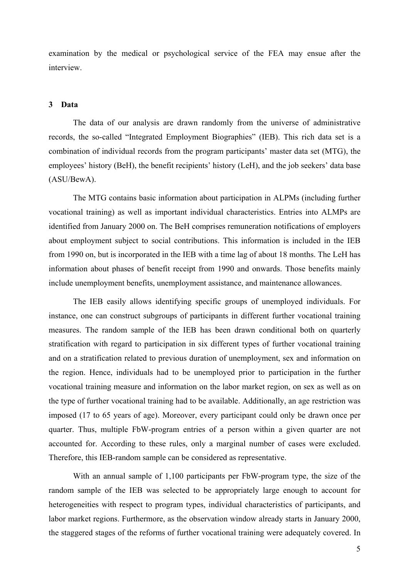examination by the medical or psychological service of the FEA may ensue after the interview.

## **3 Data**

The data of our analysis are drawn randomly from the universe of administrative records, the so-called "Integrated Employment Biographies" (IEB). This rich data set is a combination of individual records from the program participants' master data set (MTG), the employees' history (BeH), the benefit recipients' history (LeH), and the job seekers' data base (ASU/BewA).

The MTG contains basic information about participation in ALPMs (including further vocational training) as well as important individual characteristics. Entries into ALMPs are identified from January 2000 on. The BeH comprises remuneration notifications of employers about employment subject to social contributions. This information is included in the IEB from 1990 on, but is incorporated in the IEB with a time lag of about 18 months. The LeH has information about phases of benefit receipt from 1990 and onwards. Those benefits mainly include unemployment benefits, unemployment assistance, and maintenance allowances.

The IEB easily allows identifying specific groups of unemployed individuals. For instance, one can construct subgroups of participants in different further vocational training measures. The random sample of the IEB has been drawn conditional both on quarterly stratification with regard to participation in six different types of further vocational training and on a stratification related to previous duration of unemployment, sex and information on the region. Hence, individuals had to be unemployed prior to participation in the further vocational training measure and information on the labor market region, on sex as well as on the type of further vocational training had to be available. Additionally, an age restriction was imposed (17 to 65 years of age). Moreover, every participant could only be drawn once per quarter. Thus, multiple FbW-program entries of a person within a given quarter are not accounted for. According to these rules, only a marginal number of cases were excluded. Therefore, this IEB-random sample can be considered as representative.

With an annual sample of 1,100 participants per FbW-program type, the size of the random sample of the IEB was selected to be appropriately large enough to account for heterogeneities with respect to program types, individual characteristics of participants, and labor market regions. Furthermore, as the observation window already starts in January 2000, the staggered stages of the reforms of further vocational training were adequately covered. In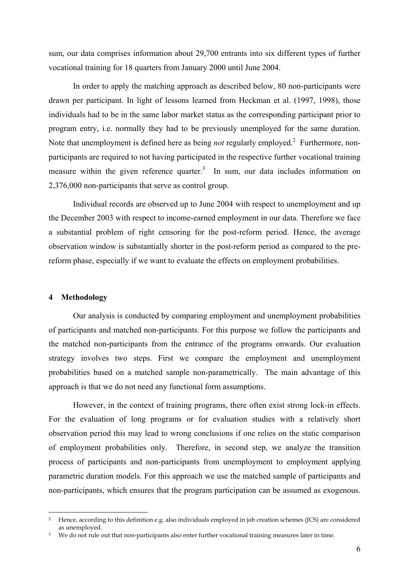sum, our data comprises information about 29,700 entrants into six different types of further vocational training for 18 quarters from January 2000 until June 2004.

In order to apply the matching approach as described below, 80 non-participants were drawn per participant. In light of lessons learned from Heckman et al. (1997, 1998), those individuals had to be in the same labor market status as the corresponding participant prior to program entry, i.e. normally they had to be previously unemployed for the same duration. Note that unemployment is defined here as being *not* regularly employed.<sup>2</sup> Furthermore, nonparticipants are required to not having participated in the respective further vocational training measure within the given reference quarter.<sup>3</sup> In sum, our data includes information on 2,376,000 non-participants that serve as control group.

Individual records are observed up to June 2004 with respect to unemployment and up the December 2003 with respect to income-earned employment in our data. Therefore we face a substantial problem of right censoring for the post-reform period. Hence, the average observation window is substantially shorter in the post-reform period as compared to the prereform phase, especially if we want to evaluate the effects on employment probabilities.

## **4 Methodology**

1

Our analysis is conducted by comparing employment and unemployment probabilities of participants and matched non-participants. For this purpose we follow the participants and the matched non-participants from the entrance of the programs onwards. Our evaluation strategy involves two steps. First we compare the employment and unemployment probabilities based on a matched sample non-parametrically. The main advantage of this approach is that we do not need any functional form assumptions.

However, in the context of training programs, there often exist strong lock-in effects. For the evaluation of long programs or for evaluation studies with a relatively short observation period this may lead to wrong conclusions if one relies on the static comparison of employment probabilities only. Therefore, in second step, we analyze the transition process of participants and non-participants from unemployment to employment applying parametric duration models. For this approach we use the matched sample of participants and non-participants, which ensures that the program participation can be assumed as exogenous.

<span id="page-6-0"></span><sup>2</sup> Hence, according to this definition e.g. also individuals employed in job creation schemes (JCS) are considered as unemployed.

<span id="page-6-1"></span>We do not rule out that non-participants also enter further vocational training measures later in time.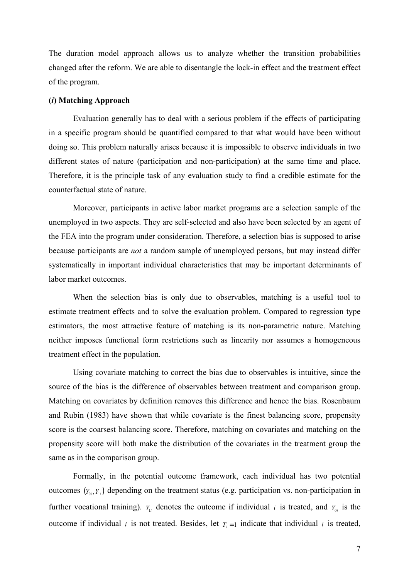The duration model approach allows us to analyze whether the transition probabilities changed after the reform. We are able to disentangle the lock-in effect and the treatment effect of the program.

#### **(***i***) Matching Approach**

Evaluation generally has to deal with a serious problem if the effects of participating in a specific program should be quantified compared to that what would have been without doing so. This problem naturally arises because it is impossible to observe individuals in two different states of nature (participation and non-participation) at the same time and place. Therefore, it is the principle task of any evaluation study to find a credible estimate for the counterfactual state of nature.

Moreover, participants in active labor market programs are a selection sample of the unemployed in two aspects. They are self-selected and also have been selected by an agent of the FEA into the program under consideration. Therefore, a selection bias is supposed to arise because participants are *not* a random sample of unemployed persons, but may instead differ systematically in important individual characteristics that may be important determinants of labor market outcomes.

When the selection bias is only due to observables, matching is a useful tool to estimate treatment effects and to solve the evaluation problem. Compared to regression type estimators, the most attractive feature of matching is its non-parametric nature. Matching neither imposes functional form restrictions such as linearity nor assumes a homogeneous treatment effect in the population.

Using covariate matching to correct the bias due to observables is intuitive, since the source of the bias is the difference of observables between treatment and comparison group. Matching on covariates by definition removes this difference and hence the bias. Rosenbaum and Rubin (1983) have shown that while covariate is the finest balancing score, propensity score is the coarsest balancing score. Therefore, matching on covariates and matching on the propensity score will both make the distribution of the covariates in the treatment group the same as in the comparison group.

Formally, in the potential outcome framework, each individual has two potential outcomes  $(Y_{0i}, Y_{1i})$  depending on the treatment status (e.g. participation vs. non-participation in further vocational training).  $Y_{1i}$  denotes the outcome if individual *i* is treated, and  $Y_{0i}$  is the outcome if individual *i* is not treated. Besides, let  $T_i = 1$  indicate that individual *i* is treated,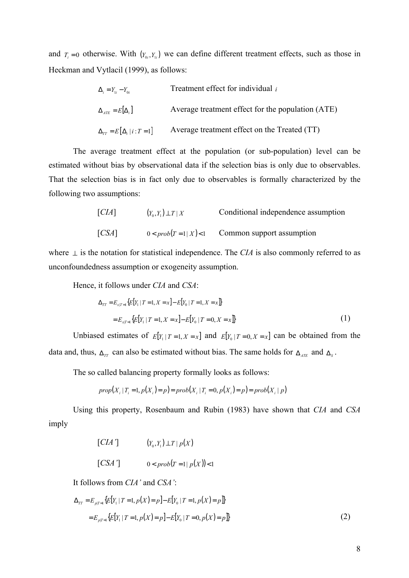and  $T_i = 0$  otherwise. With  $(Y_{0i}, Y_{1i})$  we can define different treatment effects, such as those in Heckman and Vytlacil (1999), as follows:

$$
\Delta_i = Y_{1i} - Y_{0i}
$$
 Treatment effect for individual *i*  
\n
$$
\Delta_{ATE} = E[\Delta_i]
$$
 Average treatment effect for the population (ATE)  
\n
$$
\Delta_{TT} = E[\Delta_i | i : T = 1]
$$
 Average treatment effect on the Treated (TT)

The average treatment effect at the population (or sub-population) level can be estimated without bias by observational data if the selection bias is only due to observables. That the selection bias is in fact only due to observables is formally characterized by the following two assumptions:

[*CIA*] 
$$
(Y_0, Y_1) \perp T \mid X
$$
 Conditional independence assumption  
[*CSA*]  $0 < prob(T = 1 \mid X) < 1$  Common support assumption

where  $\perp$  is the notation for statistical independence. The *CIA* is also commonly referred to as unconfoundedness assumption or exogeneity assumption.

Hence, it follows under *CIA* and *CSA*:

$$
\Delta_{TT} = E_{x|T=1} \{ E[Y_1 | T=1, X=x] - E[Y_0 | T=1, X=x] \}
$$
  
= 
$$
E_{x|T=1} \{ E[Y_1 | T=1, X=x] - E[Y_0 | T=0, X=x] \}
$$
 (1)

Unbiased estimates of  $E[Y_1 | T = 1, X = x]$  and  $E[Y_0 | T = 0, X = x]$  can be obtained from the data and, thus,  $\Delta_{TT}$  can also be estimated without bias. The same holds for  $\Delta_{ATE}$  and  $\Delta_{S}$ .

The so called balancing property formally looks as follows:

$$
prop(X_i | T_i = 1, p(X_i) = p) = prob(X_i | T_i = 0, p(X_i) = p) = prob(X_i | p)
$$

Using this property, Rosenbaum and Rubin (1983) have shown that *CIA* and *CSA* imply

$$
[CIA'] \qquad (Y_0,Y_1) \perp T \mid p(X)
$$

$$
[CSA'] \qquad \qquad 0 < prob(T = 1 | p(X)) < 1
$$

It follows from *CIA'* and *CSA'*:

$$
\Delta_{TT} = E_{p|T=1} \{ E[Y_1 | T=1, p(X) = p] - E[Y_0 | T=1, p(X) = p] \}
$$
  
= 
$$
E_{p|T=1} \{ E[Y_1 | T=1, p(X) = p] - E[Y_0 | T=0, p(X) = p] \}
$$
 (2)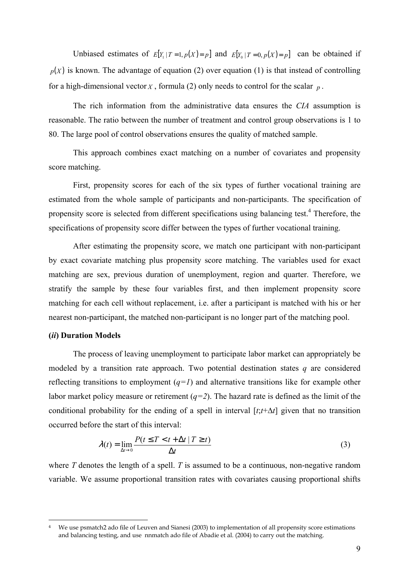Unbiased estimates of  $E[Y_1 | T = 1, p(X) = p]$  and  $E[Y_0 | T = 0, p(X) = p]$  can be obtained if  $p(X)$  is known. The advantage of equation (2) over equation (1) is that instead of controlling for a high-dimensional vector  $X$ , formula (2) only needs to control for the scalar  $p$ .

The rich information from the administrative data ensures the *CIA* assumption is reasonable. The ratio between the number of treatment and control group observations is 1 to 80. The large pool of control observations ensures the quality of matched sample.

This approach combines exact matching on a number of covariates and propensity score matching.

First, propensity scores for each of the six types of further vocational training are estimated from the whole sample of participants and non-participants. The specification of propensity score is selected from different specifications using balancing test.<sup>[4](#page-9-0)</sup> Therefore, the specifications of propensity score differ between the types of further vocational training.

After estimating the propensity score, we match one participant with non-participant by exact covariate matching plus propensity score matching. The variables used for exact matching are sex, previous duration of unemployment, region and quarter. Therefore, we stratify the sample by these four variables first, and then implement propensity score matching for each cell without replacement, i.e. after a participant is matched with his or her nearest non-participant, the matched non-participant is no longer part of the matching pool.

#### **(***ii***) Duration Models**

1

The process of leaving unemployment to participate labor market can appropriately be modeled by a transition rate approach. Two potential destination states *q* are considered reflecting transitions to employment  $(q=1)$  and alternative transitions like for example other labor market policy measure or retirement  $(q=2)$ . The hazard rate is defined as the limit of the conditional probability for the ending of a spell in interval [*t*;*t*+∆*t*] given that no transition occurred before the start of this interval:

$$
\lambda(t) = \lim_{\Delta t \to 0} \frac{P(t \le T < t + \Delta t | T \ge t)}{\Delta t}
$$
 (3)

where *T* denotes the length of a spell. *T* is assumed to be a continuous, non-negative random variable. We assume proportional transition rates with covariates causing proportional shifts

<span id="page-9-0"></span>We use psmatch2 ado file of Leuven and Sianesi (2003) to implementation of all propensity score estimations and balancing testing, and use nnmatch ado file of Abadie et al. (2004) to carry out the matching.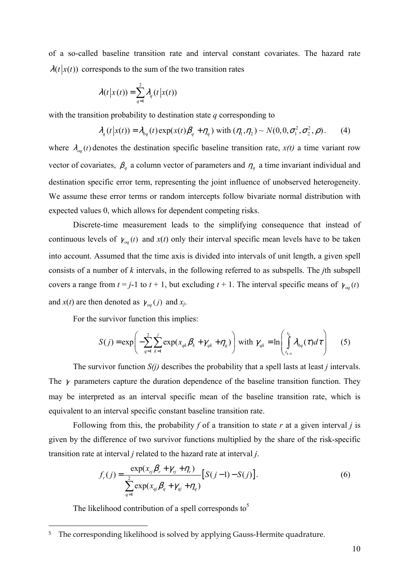of a so-called baseline transition rate and interval constant covariates. The hazard rate  $\lambda(t|x(t))$  corresponds to the sum of the two transition rates

$$
\lambda(t|x(t)) = \sum_{q=1}^{2} \lambda_q(t|x(t))
$$

with the transition probability to destination state *q* corresponding to

$$
\lambda_q(t|x(t)) = \lambda_{0q}(t) \exp(x(t)\beta_q + \eta_q) \text{ with } (\eta_1, \eta_2) \sim N(0, 0, \sigma_1^2, \sigma_2^2, \rho). \tag{4}
$$

where  $\lambda_{oa}(t)$  denotes the destination specific baseline transition rate,  $x(t)$  a time variant row vector of covariates,  $\beta_q$  a column vector of parameters and  $\eta_q$  a time invariant individual and destination specific error term, representing the joint influence of unobserved heterogeneity. We assume these error terms or random intercepts follow bivariate normal distribution with expected values 0, which allows for dependent competing risks.

Discrete-time measurement leads to the simplifying consequence that instead of continuous levels of  $\gamma_{oa}(t)$  and  $x(t)$  only their interval specific mean levels have to be taken into account. Assumed that the time axis is divided into intervals of unit length, a given spell consists of a number of *k* intervals, in the following referred to as subspells. The *j*th subspell covers a range from  $t = j-1$  to  $t + 1$ , but excluding  $t + 1$ . The interval specific means of  $\gamma_{oa}(t)$ and  $x(t)$  are then denoted as  $\gamma_{oa}(j)$  and  $x_j$ .

For the survivor function this implies:

$$
S(j) = \exp\left(-\sum_{q=1}^{2}\sum_{k=1}^{j} \exp(x_{qk}\beta_k + \gamma_{qk} + \eta_q)\right) \text{ with } \gamma_{qk} = \ln\left(\int_{t_{k-1}}^{t_k} \lambda_{0q}(\tau)d\tau\right) \tag{5}
$$

The survivor function *S(j)* describes the probability that a spell lasts at least *j* intervals. The  $\gamma$  parameters capture the duration dependence of the baseline transition function. They may be interpreted as an interval specific mean of the baseline transition rate, which is equivalent to an interval specific constant baseline transition rate.

Following from this, the probability *f* of a transition to state *r* at a given interval *j* is given by the difference of two survivor functions multiplied by the share of the risk-specific transition rate at interval *j* related to the hazard rate at interval *j*.

$$
f_r(j) = \frac{\exp(x_{rj}\beta_r + \gamma_{rj} + \eta_r)}{\sum_{q=1}^{2} \exp(x_{qj}\beta_q + \gamma_{qj} + \eta_q)} [S(j-1) - S(j)].
$$
\n(6)

The likelihood contribution of a spell corresponds to<sup>[5](#page-10-0)</sup>

 $\overline{a}$ 

<span id="page-10-0"></span><sup>&</sup>lt;sup>5</sup> The corresponding likelihood is solved by applying Gauss-Hermite quadrature.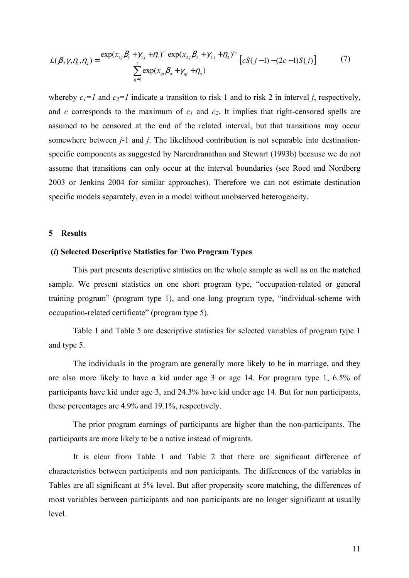$$
L(\beta, \gamma, \eta_1, \eta_2) = \frac{\exp(x_{1j}\beta_1 + \gamma_{1j} + \eta_1)^{c_1} \exp(x_{2j}\beta_2 + \gamma_{2j} + \eta_2)^{c_2}}{\sum_{q=1}^{2} \exp(x_{qj}\beta_q + \gamma_{qj} + \eta_q)}
$$
 (7)

whereby  $c_1 = 1$  and  $c_2 = 1$  indicate a transition to risk 1 and to risk 2 in interval *j*, respectively, and *c* corresponds to the maximum of  $c_1$  and  $c_2$ . It implies that right-censored spells are assumed to be censored at the end of the related interval, but that transitions may occur somewhere between *j*-1 and *j*. The likelihood contribution is not separable into destinationspecific components as suggested by Narendranathan and Stewart (1993b) because we do not assume that transitions can only occur at the interval boundaries (see Roed and Nordberg 2003 or Jenkins 2004 for similar approaches). Therefore we can not estimate destination specific models separately, even in a model without unobserved heterogeneity.

## **5 Results**

## **(***i***) Selected Descriptive Statistics for Two Program Types**

This part presents descriptive statistics on the whole sample as well as on the matched sample. We present statistics on one short program type, "occupation-related or general training program" (program type 1), and one long program type, "individual-scheme with occupation-related certificate" (program type 5).

Table 1 and Table 5 are descriptive statistics for selected variables of program type 1 and type 5.

The individuals in the program are generally more likely to be in marriage, and they are also more likely to have a kid under age 3 or age 14. For program type 1, 6.5% of participants have kid under age 3, and 24.3% have kid under age 14. But for non participants, these percentages are 4.9% and 19.1%, respectively.

The prior program earnings of participants are higher than the non-participants. The participants are more likely to be a native instead of migrants.

It is clear from Table 1 and Table 2 that there are significant difference of characteristics between participants and non participants. The differences of the variables in Tables are all significant at 5% level. But after propensity score matching, the differences of most variables between participants and non participants are no longer significant at usually level.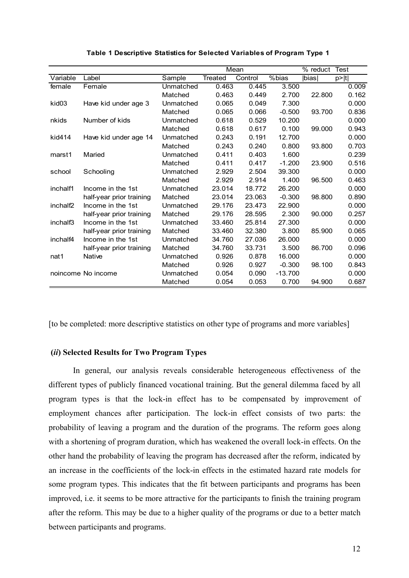|                      |                          |           | Mean    |         |           | % reduct Test |       |
|----------------------|--------------------------|-----------|---------|---------|-----------|---------------|-------|
| Variable             | Label                    | Sample    | Treated | Control | %bias     | <b>Ibias</b>  | p> t  |
| female               | Female                   | Unmatched | 0.463   | 0.445   | 3.500     |               | 0.009 |
|                      |                          | Matched   | 0.463   | 0.449   | 2.700     | 22.800        | 0.162 |
| kid03                | Have kid under age 3     | Unmatched | 0.065   | 0.049   | 7.300     |               | 0.000 |
|                      |                          | Matched   | 0.065   | 0.066   | $-0.500$  | 93.700        | 0.836 |
| nkids                | Number of kids           | Unmatched | 0.618   | 0.529   | 10.200    |               | 0.000 |
|                      |                          | Matched   | 0.618   | 0.617   | 0.100     | 99.000        | 0.943 |
| kid414               | Have kid under age 14    | Unmatched | 0.243   | 0.191   | 12.700    |               | 0.000 |
|                      |                          | Matched   | 0.243   | 0.240   | 0.800     | 93.800        | 0.703 |
| marst1               | Maried                   | Unmatched | 0.411   | 0.403   | 1.600     |               | 0.239 |
|                      |                          | Matched   | 0.411   | 0.417   | $-1.200$  | 23.900        | 0.516 |
| school               | Schooling                | Unmatched | 2.929   | 2.504   | 39.300    |               | 0.000 |
|                      |                          | Matched   | 2.929   | 2.914   | 1.400     | 96.500        | 0.463 |
| inchalf1             | Income in the 1st        | Unmatched | 23.014  | 18.772  | 26.200    |               | 0.000 |
|                      | half-year prior training | Matched   | 23.014  | 23.063  | $-0.300$  | 98.800        | 0.890 |
| inchalf <sub>2</sub> | Income in the 1st        | Unmatched | 29.176  | 23.473  | 22.900    |               | 0.000 |
|                      | half-year prior training | Matched   | 29.176  | 28.595  | 2.300     | 90.000        | 0.257 |
| inchalf3             | Income in the 1st        | Unmatched | 33.460  | 25.814  | 27.300    |               | 0.000 |
|                      | half-year prior training | Matched   | 33.460  | 32.380  | 3.800     | 85.900        | 0.065 |
| inchalf4             | Income in the 1st        | Unmatched | 34.760  | 27.036  | 26,000    |               | 0.000 |
|                      | half-year prior training | Matched   | 34.760  | 33.731  | 3.500     | 86.700        | 0.096 |
| nat1                 | Native                   | Unmatched | 0.926   | 0.878   | 16.000    |               | 0.000 |
|                      |                          | Matched   | 0.926   | 0.927   | $-0.300$  | 98.100        | 0.843 |
|                      | noincome No income       | Unmatched | 0.054   | 0.090   | $-13.700$ |               | 0.000 |
|                      |                          | Matched   | 0.054   | 0.053   | 0.700     | 94.900        | 0.687 |

**Table 1 Descriptive Statistics for Selected Variables of Program Type 1**

[to be completed: more descriptive statistics on other type of programs and more variables]

## **(***ii***) Selected Results for Two Program Types**

In general, our analysis reveals considerable heterogeneous effectiveness of the different types of publicly financed vocational training. But the general dilemma faced by all program types is that the lock-in effect has to be compensated by improvement of employment chances after participation. The lock-in effect consists of two parts: the probability of leaving a program and the duration of the programs. The reform goes along with a shortening of program duration, which has weakened the overall lock-in effects. On the other hand the probability of leaving the program has decreased after the reform, indicated by an increase in the coefficients of the lock-in effects in the estimated hazard rate models for some program types. This indicates that the fit between participants and programs has been improved, i.e. it seems to be more attractive for the participants to finish the training program after the reform. This may be due to a higher quality of the programs or due to a better match between participants and programs.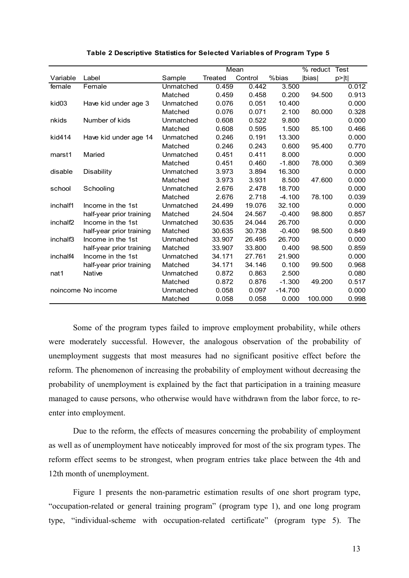|                      |                          |           | Mean    |         |           | % reduct | <b>Test</b> |
|----------------------|--------------------------|-----------|---------|---------|-----------|----------|-------------|
| Variable             | Label                    | Sample    | Treated | Control | %bias     | bias     | p >  t      |
| female               | Female                   | Unmatched | 0.459   | 0.442   | 3.500     |          | 0.012       |
|                      |                          | Matched   | 0.459   | 0.458   | 0.200     | 94.500   | 0.913       |
| kid03                | Have kid under age 3     | Unmatched | 0.076   | 0.051   | 10.400    |          | 0.000       |
|                      |                          | Matched   | 0.076   | 0.071   | 2.100     | 80.000   | 0.328       |
| nkids                | Number of kids           | Unmatched | 0.608   | 0.522   | 9.800     |          | 0.000       |
|                      |                          | Matched   | 0.608   | 0.595   | 1.500     | 85.100   | 0.466       |
| kid414               | Have kid under age 14    | Unmatched | 0.246   | 0.191   | 13.300    |          | 0.000       |
|                      |                          | Matched   | 0.246   | 0.243   | 0.600     | 95.400   | 0.770       |
| marst1               | Maried                   | Unmatched | 0.451   | 0.411   | 8.000     |          | 0.000       |
|                      |                          | Matched   | 0.451   | 0.460   | $-1.800$  | 78.000   | 0.369       |
| disable              | <b>Disability</b>        | Unmatched | 3.973   | 3.894   | 16.300    |          | 0.000       |
|                      |                          | Matched   | 3.973   | 3.931   | 8.500     | 47.600   | 0.000       |
| school               | Schooling                | Unmatched | 2.676   | 2.478   | 18.700    |          | 0.000       |
|                      |                          | Matched   | 2.676   | 2.718   | $-4.100$  | 78.100   | 0.039       |
| inchalf1             | Income in the 1st        | Unmatched | 24.499  | 19.076  | 32.100    |          | 0.000       |
|                      | half-year prior training | Matched   | 24.504  | 24.567  | $-0.400$  | 98.800   | 0.857       |
| inchalf <sub>2</sub> | Income in the 1st        | Unmatched | 30.635  | 24.044  | 26.700    |          | 0.000       |
|                      | half-year prior training | Matched   | 30.635  | 30.738  | $-0.400$  | 98.500   | 0.849       |
| inchalf3             | Income in the 1st        | Unmatched | 33.907  | 26.495  | 26.700    |          | 0.000       |
|                      | half-year prior training | Matched   | 33.907  | 33.800  | 0.400     | 98.500   | 0.859       |
| inchalf4             | Income in the 1st        | Unmatched | 34.171  | 27.761  | 21.900    |          | 0.000       |
|                      | half-year prior training | Matched   | 34.171  | 34.146  | 0.100     | 99.500   | 0.968       |
| nat1                 | Native                   | Unmatched | 0.872   | 0.863   | 2.500     |          | 0.080       |
|                      |                          | Matched   | 0.872   | 0.876   | $-1.300$  | 49.200   | 0.517       |
|                      | noincome No income       | Unmatched | 0.058   | 0.097   | $-14.700$ |          | 0.000       |
|                      |                          | Matched   | 0.058   | 0.058   | 0.000     | 100.000  | 0.998       |

## **Table 2 Descriptive Statistics for Selected Variables of Program Type 5**

Some of the program types failed to improve employment probability, while others were moderately successful. However, the analogous observation of the probability of unemployment suggests that most measures had no significant positive effect before the reform. The phenomenon of increasing the probability of employment without decreasing the probability of unemployment is explained by the fact that participation in a training measure managed to cause persons, who otherwise would have withdrawn from the labor force, to reenter into employment.

Due to the reform, the effects of measures concerning the probability of employment as well as of unemployment have noticeably improved for most of the six program types. The reform effect seems to be strongest, when program entries take place between the 4th and 12th month of unemployment.

Figure 1 presents the non-parametric estimation results of one short program type, "occupation-related or general training program" (program type 1), and one long program type, "individual-scheme with occupation-related certificate" (program type 5). The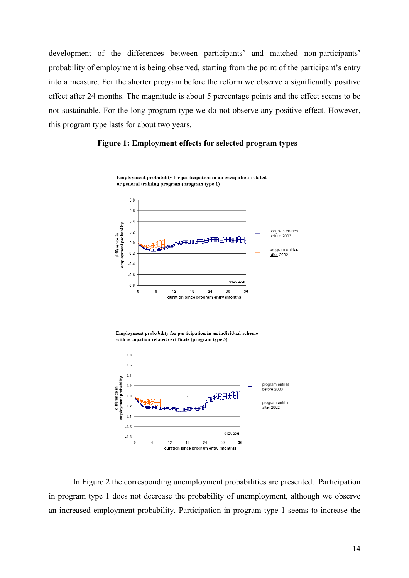development of the differences between participants' and matched non-participants' probability of employment is being observed, starting from the point of the participant's entry into a measure. For the shorter program before the reform we observe a significantly positive effect after 24 months. The magnitude is about 5 percentage points and the effect seems to be not sustainable. For the long program type we do not observe any positive effect. However, this program type lasts for about two years.







In Figure 2 the corresponding unemployment probabilities are presented. Participation in program type 1 does not decrease the probability of unemployment, although we observe an increased employment probability. Participation in program type 1 seems to increase the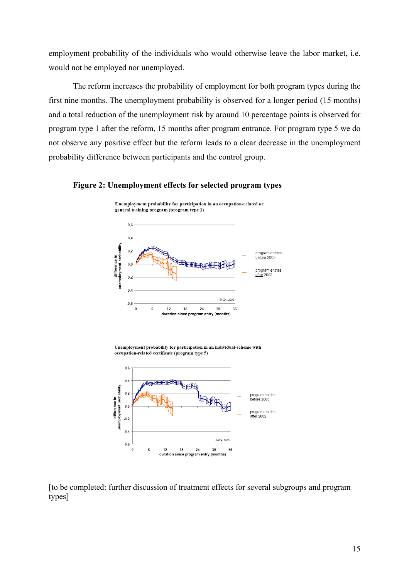employment probability of the individuals who would otherwise leave the labor market, i.e. would not be employed nor unemployed.

The reform increases the probability of employment for both program types during the first nine months. The unemployment probability is observed for a longer period (15 months) and a total reduction of the unemployment risk by around 10 percentage points is observed for program type 1 after the reform, 15 months after program entrance. For program type 5 we do not observe any positive effect but the reform leads to a clear decrease in the unemployment probability difference between participants and the control group.



**Figure 2: Unemployment effects for selected program types** 

Unemployment probability for participation in an individual-scheme with occupation-related certificate (program type 5)



[to be completed: further discussion of treatment effects for several subgroups and program types]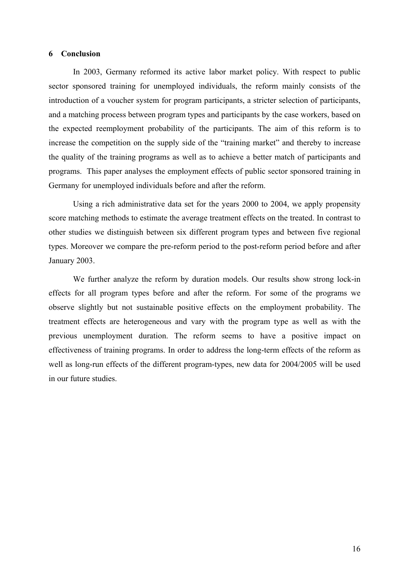## **6 Conclusion**

In 2003, Germany reformed its active labor market policy. With respect to public sector sponsored training for unemployed individuals, the reform mainly consists of the introduction of a voucher system for program participants, a stricter selection of participants, and a matching process between program types and participants by the case workers, based on the expected reemployment probability of the participants. The aim of this reform is to increase the competition on the supply side of the "training market" and thereby to increase the quality of the training programs as well as to achieve a better match of participants and programs. This paper analyses the employment effects of public sector sponsored training in Germany for unemployed individuals before and after the reform.

Using a rich administrative data set for the years 2000 to 2004, we apply propensity score matching methods to estimate the average treatment effects on the treated. In contrast to other studies we distinguish between six different program types and between five regional types. Moreover we compare the pre-reform period to the post-reform period before and after January 2003.

We further analyze the reform by duration models. Our results show strong lock-in effects for all program types before and after the reform. For some of the programs we observe slightly but not sustainable positive effects on the employment probability. The treatment effects are heterogeneous and vary with the program type as well as with the previous unemployment duration. The reform seems to have a positive impact on effectiveness of training programs. In order to address the long-term effects of the reform as well as long-run effects of the different program-types, new data for 2004/2005 will be used in our future studies.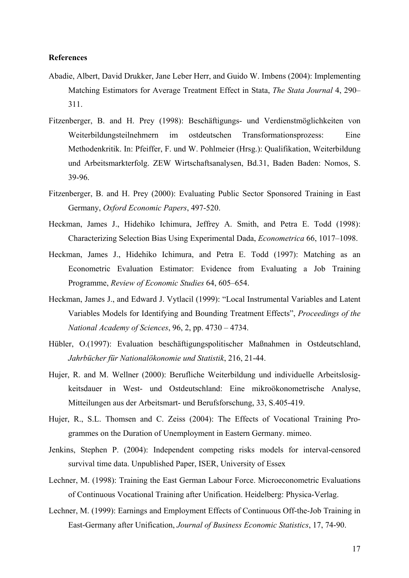## **References**

- Abadie, Albert, David Drukker, Jane Leber Herr, and Guido W. Imbens (2004): Implementing Matching Estimators for Average Treatment Effect in Stata, *The Stata Journal* 4, 290– 311.
- Fitzenberger, B. and H. Prey (1998): Beschäftigungs- und Verdienstmöglichkeiten von Weiterbildungsteilnehmern im ostdeutschen Transformationsprozess: Eine Methodenkritik. In: Pfeiffer, F. und W. Pohlmeier (Hrsg.): Qualifikation, Weiterbildung und Arbeitsmarkterfolg. ZEW Wirtschaftsanalysen, Bd.31, Baden Baden: Nomos, S. 39-96.
- Fitzenberger, B. and H. Prey (2000): Evaluating Public Sector Sponsored Training in East Germany, *Oxford Economic Papers*, 497-520.
- Heckman, James J., Hidehiko Ichimura, Jeffrey A. Smith, and Petra E. Todd (1998): Characterizing Selection Bias Using Experimental Dada, *Econometrica* 66, 1017–1098.
- Heckman, James J., Hidehiko Ichimura, and Petra E. Todd (1997): Matching as an Econometric Evaluation Estimator: Evidence from Evaluating a Job Training Programme, *Review of Economic Studies* 64, 605–654.
- Heckman, James J., and Edward J. Vytlacil (1999): "Local Instrumental Variables and Latent Variables Models for Identifying and Bounding Treatment Effects", *Proceedings of the National Academy of Sciences*, 96, 2, pp. 4730 – 4734.
- Hübler, O.(1997): Evaluation beschäftigungspolitischer Maßnahmen in Ostdeutschland, *Jahrbücher für Nationalökonomie und Statistik*, 216, 21-44.
- Hujer, R. and M. Wellner (2000): Berufliche Weiterbildung und individuelle Arbeitslosigkeitsdauer in West- und Ostdeutschland: Eine mikroökonometrische Analyse, Mitteilungen aus der Arbeitsmart- und Berufsforschung, 33, S.405-419.
- Hujer, R., S.L. Thomsen and C. Zeiss (2004): The Effects of Vocational Training Programmes on the Duration of Unemployment in Eastern Germany. mimeo.
- Jenkins, Stephen P. (2004): Independent competing risks models for interval-censored survival time data. Unpublished Paper, ISER, University of Essex
- Lechner, M. (1998): Training the East German Labour Force. Microeconometric Evaluations of Continuous Vocational Training after Unification. Heidelberg: Physica-Verlag.
- Lechner, M. (1999): Earnings and Employment Effects of Continuous Off-the-Job Training in East-Germany after Unification, *Journal of Business Economic Statistics*, 17, 74-90.